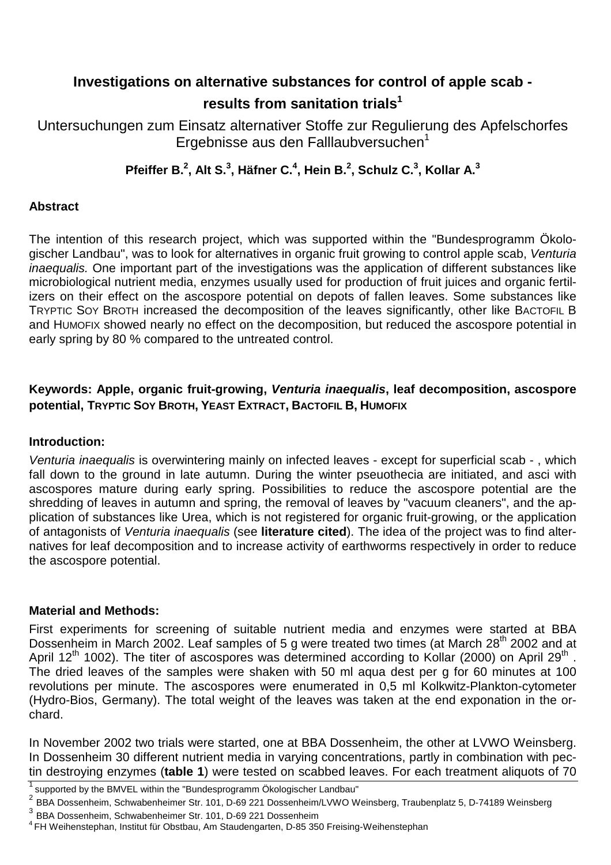# **Investigations on alternative substances for control of apple scab results from sanitation trials<sup>1</sup>**

Untersuchungen zum Einsatz alternativer Stoffe zur Regulierung des Apfelschorfes Ergebnisse aus den Falllaubversuchen $1$ 

# **Pfeiffer B.<sup>2</sup> , Alt S.<sup>3</sup> , Häfner C.<sup>4</sup> , Hein B.<sup>2</sup> , Schulz C.<sup>3</sup> , Kollar A.<sup>3</sup>**

## **Abstract**

The intention of this research project, which was supported within the "Bundesprogramm Ökologischer Landbau", was to look for alternatives in organic fruit growing to control apple scab, Venturia inaequalis. One important part of the investigations was the application of different substances like microbiological nutrient media, enzymes usually used for production of fruit juices and organic fertilizers on their effect on the ascospore potential on depots of fallen leaves. Some substances like TRYPTIC SOY BROTH increased the decomposition of the leaves significantly, other like BACTOFIL B and HUMOFIX showed nearly no effect on the decomposition, but reduced the ascospore potential in early spring by 80 % compared to the untreated control.

## **Keywords: Apple, organic fruit-growing, Venturia inaequalis, leaf decomposition, ascospore potential, TRYPTIC SOY BROTH, YEAST EXTRACT, BACTOFIL B, HUMOFIX**

#### **Introduction:**

Venturia inaequalis is overwintering mainly on infected leaves - except for superficial scab - , which fall down to the ground in late autumn. During the winter pseuothecia are initiated, and asci with ascospores mature during early spring. Possibilities to reduce the ascospore potential are the shredding of leaves in autumn and spring, the removal of leaves by "vacuum cleaners", and the application of substances like Urea, which is not registered for organic fruit-growing, or the application of antagonists of Venturia inaequalis (see **literature cited**). The idea of the project was to find alternatives for leaf decomposition and to increase activity of earthworms respectively in order to reduce the ascospore potential.

#### **Material and Methods:**

First experiments for screening of suitable nutrient media and enzymes were started at BBA Dossenheim in March 2002. Leaf samples of 5 g were treated two times (at March 28<sup>th</sup> 2002 and at April 12<sup>th</sup> 1002). The titer of ascospores was determined according to Kollar (2000) on April 29<sup>th</sup>. The dried leaves of the samples were shaken with 50 ml aqua dest per g for 60 minutes at 100 revolutions per minute. The ascospores were enumerated in 0,5 ml Kolkwitz-Plankton-cytometer (Hydro-Bios, Germany). The total weight of the leaves was taken at the end exponation in the orchard.

In November 2002 two trials were started, one at BBA Dossenheim, the other at LVWO Weinsberg. In Dossenheim 30 different nutrient media in varying concentrations, partly in combination with pectin destroying enzymes (**table 1**) were tested on scabbed leaves. For each treatment aliquots of 70

<sup>1</sup>supported by the BMVEL within the "Bundesprogramm Ökologischer Landbau"

<sup>2</sup> BBA Dossenheim, Schwabenheimer Str. 101, D-69 221 Dossenheim/LVWO Weinsberg, Traubenplatz 5, D-74189 Weinsberg

 $^3$  BBA Dossenheim, Schwabenheimer Str. 101, D-69 221 Dossenheim

<sup>4</sup>FH Weihenstephan, Institut für Obstbau, Am Staudengarten, D-85 350 Freising-Weihenstephan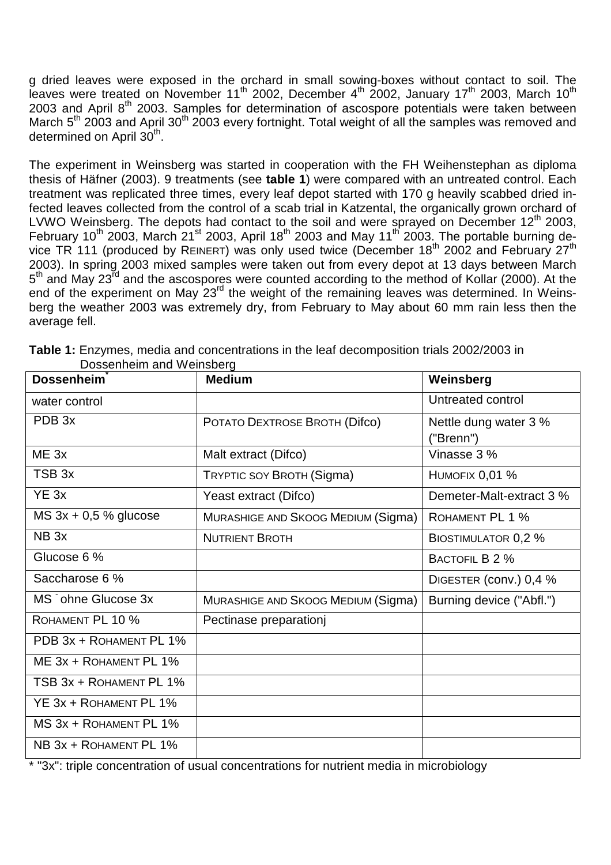g dried leaves were exposed in the orchard in small sowing-boxes without contact to soil. The leaves were treated on November 11<sup>th</sup> 2002, December 4<sup>th</sup> 2002, January 17<sup>th</sup> 2003, March 10<sup>th</sup> 2003 and April  $8<sup>th</sup>$  2003. Samples for determination of ascospore potentials were taken between March 5<sup>th</sup> 2003 and April 30<sup>th</sup> 2003 every fortnight. Total weight of all the samples was removed and determined on April 30<sup>th</sup>.

The experiment in Weinsberg was started in cooperation with the FH Weihenstephan as diploma thesis of Häfner (2003). 9 treatments (see **table 1**) were compared with an untreated control. Each treatment was replicated three times, every leaf depot started with 170 g heavily scabbed dried infected leaves collected from the control of a scab trial in Katzental, the organically grown orchard of LVWO Weinsberg. The depots had contact to the soil and were sprayed on December 12<sup>th</sup> 2003, February 10<sup>th</sup> 2003, March 21<sup>st</sup> 2003, April 18<sup>th</sup> 2003 and May 11<sup>th</sup> 2003. The portable burning device TR 111 (produced by REINERT) was only used twice (December 18<sup>th</sup> 2002 and February 27<sup>th</sup> 2003). In spring 2003 mixed samples were taken out from every depot at 13 days between March 5<sup>th</sup> and May 23<sup>rd</sup> and the ascospores were counted according to the method of Kollar (2000). At the end of the experiment on May 23<sup>rd</sup> the weight of the remaining leaves was determined. In Weinsberg the weather 2003 was extremely dry, from February to May about 60 mm rain less then the average fell.

| <b>Dossenheim</b>       | <b>Medium</b>                      | Weinsberg                          |
|-------------------------|------------------------------------|------------------------------------|
| water control           |                                    | Untreated control                  |
| PDB <sub>3x</sub>       | POTATO DEXTROSE BROTH (Difco)      | Nettle dung water 3 %<br>("Brenn") |
| ME <sub>3x</sub>        | Malt extract (Difco)               | Vinasse 3 %                        |
| TSB <sub>3x</sub>       | <b>TRYPTIC SOY BROTH (Sigma)</b>   | HUMOFIX 0,01 %                     |
| YE <sub>3x</sub>        | Yeast extract (Difco)              | Demeter-Malt-extract 3 %           |
| MS $3x + 0.5$ % glucose | MURASHIGE AND SKOOG MEDIUM (Sigma) | ROHAMENT PL 1 %                    |
| NB <sub>3x</sub>        | <b>NUTRIENT BROTH</b>              | <b>BIOSTIMULATOR 0,2 %</b>         |
| Glucose 6 %             |                                    | BACTOFIL B 2 %                     |
| Saccharose 6 %          |                                    | DIGESTER (conv.) 0,4 %             |
| MS ohne Glucose 3x      | MURASHIGE AND SKOOG MEDIUM (Sigma) | Burning device ("Abfl.")           |
| ROHAMENT PL 10 %        | Pectinase preparationj             |                                    |
| PDB 3x + ROHAMENT PL 1% |                                    |                                    |
| ME 3x + ROHAMENT PL 1%  |                                    |                                    |
| TSB 3x + ROHAMENT PL 1% |                                    |                                    |
| YE 3x + ROHAMENT PL 1%  |                                    |                                    |
| MS 3x + ROHAMENT PL 1%  |                                    |                                    |
| NB 3x + ROHAMENT PL 1%  |                                    |                                    |

**Table 1:** Enzymes, media and concentrations in the leaf decomposition trials 2002/2003 in Dossenheim and Weinsberg

\* "3x": triple concentration of usual concentrations for nutrient media in microbiology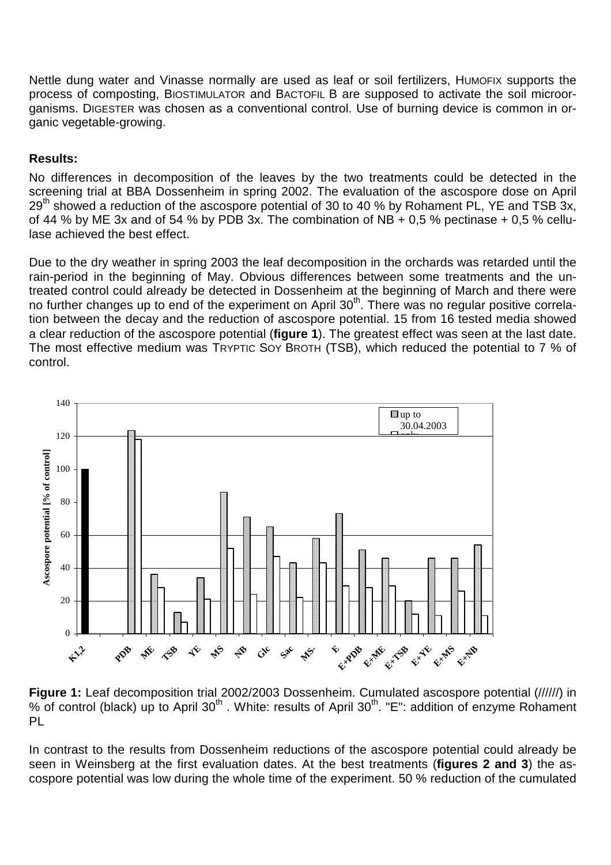Nettle dung water and Vinasse normally are used as leaf or soil fertilizers, HUMOFIX supports the process of composting, BIOSTIMULATOR and BACTOFIL B are supposed to activate the soil microorganisms. DIGESTER was chosen as a conventional control. Use of burning device is common in organic vegetable-growing.

#### **Results:**

No differences in decomposition of the leaves by the two treatments could be detected in the screening trial at BBA Dossenheim in spring 2002. The evaluation of the ascospore dose on April  $29<sup>th</sup>$  showed a reduction of the ascospore potential of 30 to 40 % by Rohament PL, YE and TSB 3x, of 44 % by ME 3x and of 54 % by PDB 3x. The combination of NB  $+$  0.5 % pectinase  $+$  0.5 % cellulase achieved the best effect.

Due to the dry weather in spring 2003 the leaf decomposition in the orchards was retarded until the rain-period in the beginning of May. Obvious differences between some treatments and the untreated control could already be detected in Dossenheim at the beginning of March and there were no further changes up to end of the experiment on April 30<sup>th</sup>. There was no regular positive correlation between the decay and the reduction of ascospore potential. 15 from 16 tested media showed a clear reduction of the ascospore potential (**figure 1**). The greatest effect was seen at the last date. The most effective medium was TRYPTIC SOY BROTH (TSB), which reduced the potential to 7 % of control.



**Figure 1:** Leaf decomposition trial 2002/2003 Dossenheim. Cumulated ascospore potential (//////) in % of control (black) up to April 30<sup>th</sup>. White: results of April 30<sup>th</sup>. "E": addition of enzyme Rohament PL

In contrast to the results from Dossenheim reductions of the ascospore potential could already be seen in Weinsberg at the first evaluation dates. At the best treatments (**figures 2 and 3**) the ascospore potential was low during the whole time of the experiment. 50 % reduction of the cumulated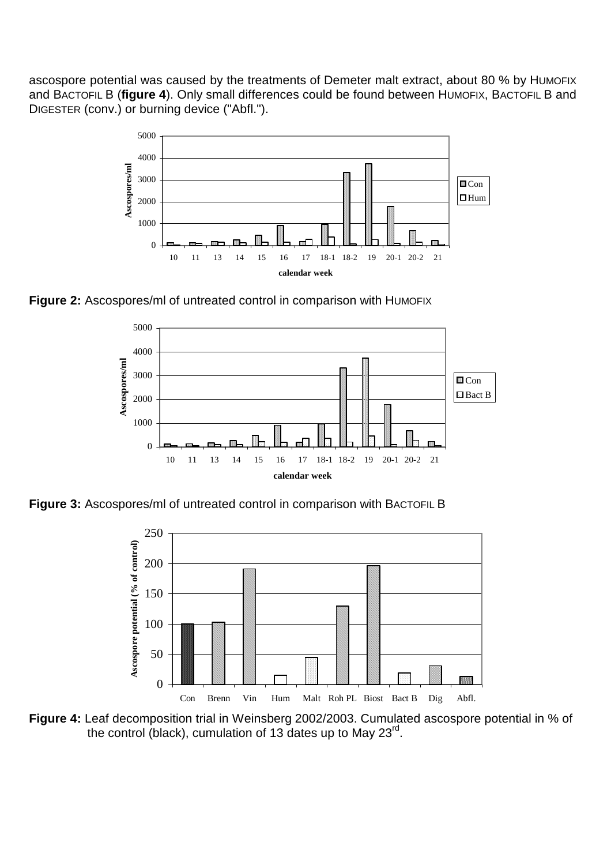ascospore potential was caused by the treatments of Demeter malt extract, about 80 % by HUMOFIX and BACTOFIL B (**figure 4**). Only small differences could be found between HUMOFIX, BACTOFIL B and DIGESTER (conv.) or burning device ("Abfl.").



**Figure 2:** Ascospores/ml of untreated control in comparison with HUMOFIX



**Figure 3:** Ascospores/ml of untreated control in comparison with BACTOFIL B



**Figure 4:** Leaf decomposition trial in Weinsberg 2002/2003. Cumulated ascospore potential in % of the control (black), cumulation of 13 dates up to May 23 $^{\text{rd}}$ .